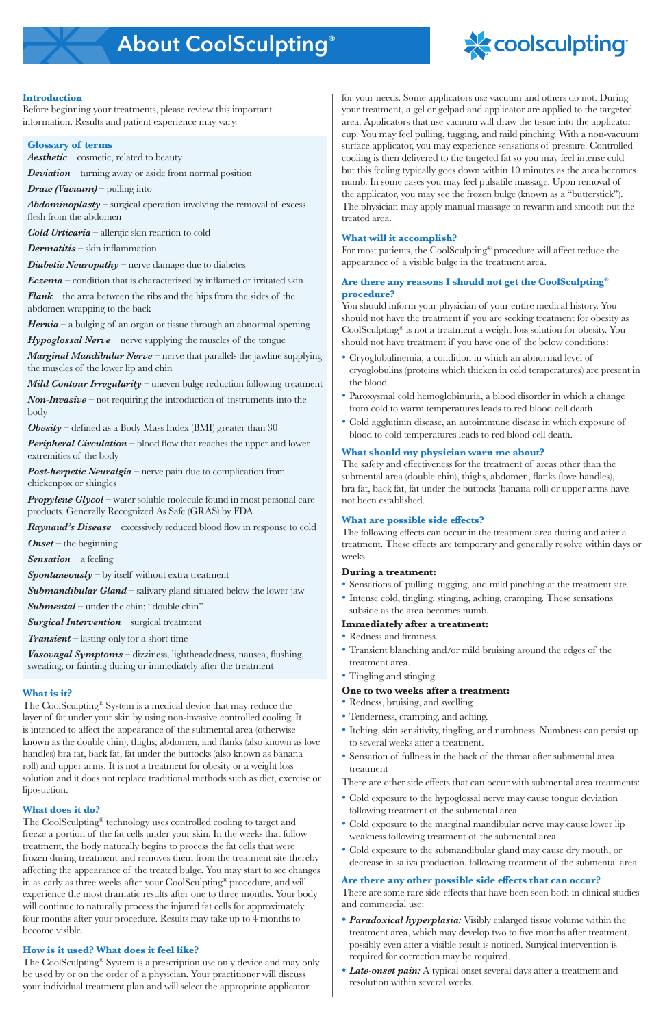

# **Introduction**

Before beginning your treatments, please review this important information. Results and patient experience may vary.

# **Glossary of terms**

*Aesthetic* – cosmetic, related to beauty

*Deviation* – turning away or aside from normal position

*Draw (Vacuum)* – pulling into

*Abdominoplasty* – surgical operation involving the removal of excess flesh from the abdomen

*Cold Urticaria* – allergic skin reaction to cold

*Dermatitis* – skin inflammation

*Diabetic Neuropathy* – nerve damage due to diabetes

*Eczema* – condition that is characterized by inflamed or irritated skin

*Peripheral Circulation – blood flow that reaches the upper and lower* extremities of the body

*Flank* – the area between the ribs and the hips from the sides of the abdomen wrapping to the back

**Post-herpetic Neuralgia** – nerve pain due to complication from chickenpox or shingles

*Propylene Glycol* – water soluble molecule found in most personal care products. Generally Recognized As Safe (GRAS) by FDA

*Hernia* – a bulging of an organ or tissue through an abnormal opening

*Hypoglossal Nerve* – nerve supplying the muscles of the tongue

*Marginal Mandibular Nerve* – nerve that parallels the jawline supplying the muscles of the lower lip and chin

*Mild Contour Irregularity* – uneven bulge reduction following treatment

*Non-Invasive* – not requiring the introduction of instruments into the body

*Obesity* – defined as a Body Mass Index (BMI) greater than 30

*Raynaud's Disease* – excessively reduced blood flow in response to cold

*Onset* – the beginning

*Sensation* – a feeling

**Spontaneously** – by itself without extra treatment

*Submandibular Gland* – salivary gland situated below the lower jaw

**Submental** – under the chin; "double chin"

*Surgical Intervention* – surgical treatment

*Transient* – lasting only for a short time

*Vasovagal Symptoms* – dizziness, lightheadedness, nausea, flushing, sweating, or fainting during or immediately after the treatment

# **What is it?**

The CoolSculpting® System is a medical device that may reduce the layer of fat under your skin by using non-invasive controlled cooling. It is intended to affect the appearance of the submental area (otherwise known as the double chin), thighs, abdomen, and flanks (also known as love handles) bra fat, back fat, fat under the buttocks (also known as banana roll) and upper arms. It is not a treatment for obesity or a weight loss solution and it does not replace traditional methods such as diet, exercise or liposuction.

# **What does it do?**

The CoolSculpting® technology uses controlled cooling to target and freeze a portion of the fat cells under your skin. In the weeks that follow treatment, the body naturally begins to process the fat cells that were frozen during treatment and removes them from the treatment site thereby affecting the appearance of the treated bulge. You may start to see changes in as early as three weeks after your CoolSculpting® procedure, and will experience the most dramatic results after one to three months. Your body will continue to naturally process the injured fat cells for approximately four months after your procedure. Results may take up to 4 months to become visible.

# **How is it used? What does it feel like?**

The CoolSculpting® System is a prescription use only device and may only be used by or on the order of a physician. Your practitioner will discuss your individual treatment plan and will select the appropriate applicator

for your needs. Some applicators use vacuum and others do not. During your treatment, a gel or gelpad and applicator are applied to the targeted area. Applicators that use vacuum will draw the tissue into the applicator cup. You may feel pulling, tugging, and mild pinching. With a non-vacuum surface applicator, you may experience sensations of pressure. Controlled cooling is then delivered to the targeted fat so you may feel intense cold but this feeling typically goes down within 10 minutes as the area becomes numb. In some cases you may feel pulsatile massage. Upon removal of the applicator, you may see the frozen bulge (known as a "butterstick"). The physician may apply manual massage to rewarm and smooth out the treated area.

# **What will it accomplish?**

For most patients, the CoolSculpting® procedure will affect reduce the appearance of a visible bulge in the treatment area.

# **Are there any reasons I should not get the CoolSculpting® procedure?**

You should inform your physician of your entire medical history. You should not have the treatment if you are seeking treatment for obesity as CoolSculpting® is not a treatment a weight loss solution for obesity. You should not have treatment if you have one of the below conditions:

- Cryoglobulinemia, a condition in which an abnormal level of cryoglobulins (proteins which thicken in cold temperatures) are present in the blood.
- Paroxysmal cold hemoglobinuria, a blood disorder in which a change from cold to warm temperatures leads to red blood cell death.
- Cold agglutinin disease, an autoimmune disease in which exposure of blood to cold temperatures leads to red blood cell death.

# **What should my physician warn me about?**

The safety and effectiveness for the treatment of areas other than the submental area (double chin), thighs, abdomen, flanks (love handles), bra fat, back fat, fat under the buttocks (banana roll) or upper arms have not been established.

# **What are possible side effects?**

The following effects can occur in the treatment area during and after a treatment. These effects are temporary and generally resolve within days or weeks.

# **During a treatment:**

- Sensations of pulling, tugging, and mild pinching at the treatment site.
- Intense cold, tingling, stinging, aching, cramping. These sensations subside as the area becomes numb.

# **Immediately after a treatment:**

- Redness and firmness.
- Transient blanching and/or mild bruising around the edges of the treatment area.
- Tingling and stinging.

# **One to two weeks after a treatment:**

- Redness, bruising, and swelling.
- Tenderness, cramping, and aching.
- Itching, skin sensitivity, tingling, and numbness. Numbness can persist up to several weeks after a treatment.
- Sensation of fullness in the back of the throat after submental area treatment

There are other side effects that can occur with submental area treatments:

- Cold exposure to the hypoglossal nerve may cause tongue deviation following treatment of the submental area.
- Cold exposure to the marginal mandibular nerve may cause lower lip weakness following treatment of the submental area.
- Cold exposure to the submandibular gland may cause dry mouth, or decrease in saliva production, following treatment of the submental area.

# **Are there any other possible side effects that can occur?**

There are some rare side effects that have been seen both in clinical studies and commercial use:

- *• Paradoxical hyperplasia:* Visibly enlarged tissue volume within the treatment area, which may develop two to five months after treatment, possibly even after a visible result is noticed. Surgical intervention is required for correction may be required.
- *• Late-onset pain:* A typical onset several days after a treatment and resolution within several weeks.